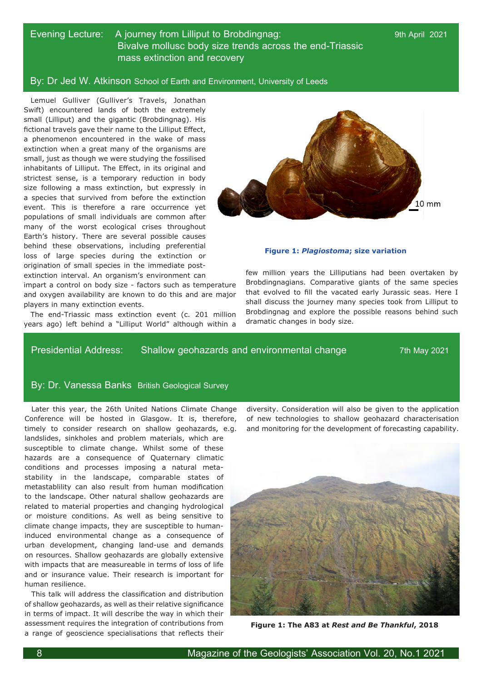# Evening Lecture: A journey from Lilliput to Brobdingnag: 9th April 2021 Bivalve mollusc body size trends across the end-Triassic mass extinction and recovery

### By: Dr Jed W. Atkinson School of Earth and Environment, University of Leeds

Lemuel Gulliver (Gulliver's Travels, Jonathan Swift) encountered lands of both the extremely small (Lilliput) and the gigantic (Brobdingnag). His fictional travels gave their name to the Lilliput Effect, a phenomenon encountered in the wake of mass extinction when a great many of the organisms are small, just as though we were studying the fossilised inhabitants of Lilliput. The Effect, in its original and strictest sense, is a temporary reduction in body size following a mass extinction, but expressly in a species that survived from before the extinction event. This is therefore a rare occurrence yet populations of small individuals are common after many of the worst ecological crises throughout Earth's history. There are several possible causes behind these observations, including preferential loss of large species during the extinction or origination of small species in the immediate postextinction interval. An organism's environment can

impart a control on body size - factors such as temperature and oxygen availability are known to do this and are major players in many extinction events.

The end-Triassic mass extinction event (c. 201 million years ago) left behind a "Lilliput World" although within a



#### **Figure 1:** *Plagiostoma***; size variation**

few million years the Lilliputians had been overtaken by Brobdingnagians. Comparative giants of the same species that evolved to fill the vacated early Jurassic seas. Here I shall discuss the journey many species took from Lilliput to Brobdingnag and explore the possible reasons behind such dramatic changes in body size.

### Presidential Address: Shallow geohazards and environmental change 7th May 2021

# By: Dr. Vanessa Banks British Geological Survey

Later this year, the 26th United Nations Climate Change Conference will be hosted in Glasgow. It is, therefore, timely to consider research on shallow geohazards, e.g. landslides, sinkholes and problem materials, which are susceptible to climate change. Whilst some of these hazards are a consequence of Quaternary climatic conditions and processes imposing a natural metastability in the landscape, comparable states of metastablility can also result from human modification to the landscape. Other natural shallow geohazards are related to material properties and changing hydrological or moisture conditions. As well as being sensitive to climate change impacts, they are susceptible to humaninduced environmental change as a consequence of urban development, changing land-use and demands on resources. Shallow geohazards are globally extensive with impacts that are measureable in terms of loss of life and or insurance value. Their research is important for human resilience.

This talk will address the classification and distribution of shallow geohazards, as well as their relative significance in terms of impact. It will describe the way in which their assessment requires the integration of contributions from a range of geoscience specialisations that reflects their diversity. Consideration will also be given to the application of new technologies to shallow geohazard characterisation and monitoring for the development of forecasting capability.



**Figure 1: The A83 at** *Rest and Be Thankful***, 2018**